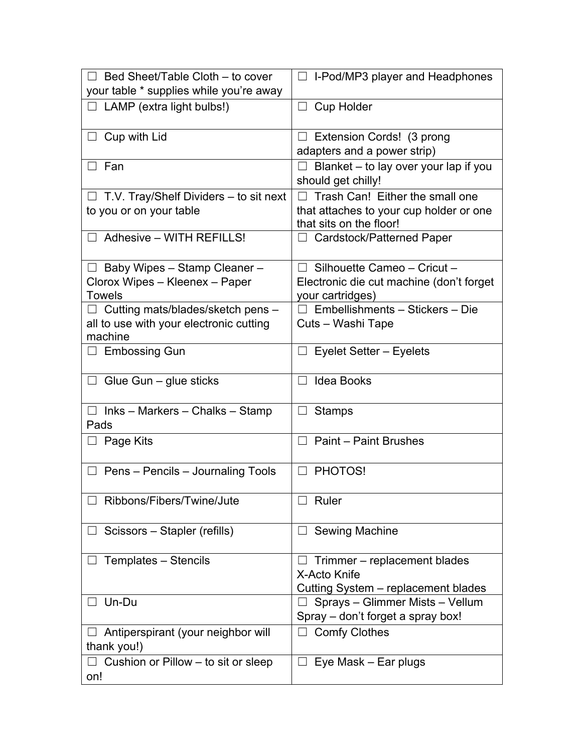| $\Box$ Bed Sheet/Table Cloth – to cover<br>your table * supplies while you're away                                                 | $\Box$ I-Pod/MP3 player and Headphones                                                                                                       |
|------------------------------------------------------------------------------------------------------------------------------------|----------------------------------------------------------------------------------------------------------------------------------------------|
| $\Box$ LAMP (extra light bulbs!)                                                                                                   | $\Box$ Cup Holder                                                                                                                            |
| $\Box$ Cup with Lid                                                                                                                | $\Box$ Extension Cords! (3 prong<br>adapters and a power strip)                                                                              |
| □ Fan                                                                                                                              | $\Box$ Blanket – to lay over your lap if you<br>should get chilly!                                                                           |
| T.V. Tray/Shelf Dividers – to sit next<br>to you or on your table                                                                  | Trash Can! Either the small one<br>$\Box$<br>that attaches to your cup holder or one<br>that sits on the floor!                              |
| $\Box$ Adhesive - WITH REFILLS!                                                                                                    | $\Box$ Cardstock/Patterned Paper                                                                                                             |
| $\Box$ Baby Wipes - Stamp Cleaner -<br>Clorox Wipes - Kleenex - Paper<br><b>Towels</b><br>$\Box$ Cutting mats/blades/sketch pens – | $\Box$ Silhouette Cameo - Cricut -<br>Electronic die cut machine (don't forget<br>your cartridges)<br>$\Box$ Embellishments – Stickers – Die |
| all to use with your electronic cutting<br>machine                                                                                 | Cuts - Washi Tape                                                                                                                            |
| $\Box$ Embossing Gun                                                                                                               | Eyelet Setter – Eyelets                                                                                                                      |
| $\Box$ Glue Gun – glue sticks                                                                                                      | $\Box$ Idea Books                                                                                                                            |
| $\Box$ Inks – Markers – Chalks – Stamp<br>Pads                                                                                     | <b>Stamps</b>                                                                                                                                |
| $\Box$ Page Kits                                                                                                                   | $\Box$ Paint – Paint Brushes                                                                                                                 |
| Pens - Pencils - Journaling Tools                                                                                                  | PHOTOS!                                                                                                                                      |
| Ribbons/Fibers/Twine/Jute                                                                                                          | Ruler                                                                                                                                        |
| Scissors - Stapler (refills)                                                                                                       | Sewing Machine                                                                                                                               |
| Templates - Stencils                                                                                                               | Trimmer – replacement blades<br>X-Acto Knife<br>Cutting System - replacement blades                                                          |
| Un-Du                                                                                                                              | Sprays - Glimmer Mists - Vellum<br>Spray – don't forget a spray box!                                                                         |
| $\Box$ Antiperspirant (your neighbor will<br>thank you!)                                                                           | $\Box$ Comfy Clothes                                                                                                                         |
| Cushion or Pillow – to sit or sleep<br>on!                                                                                         | Eye Mask – Ear plugs                                                                                                                         |